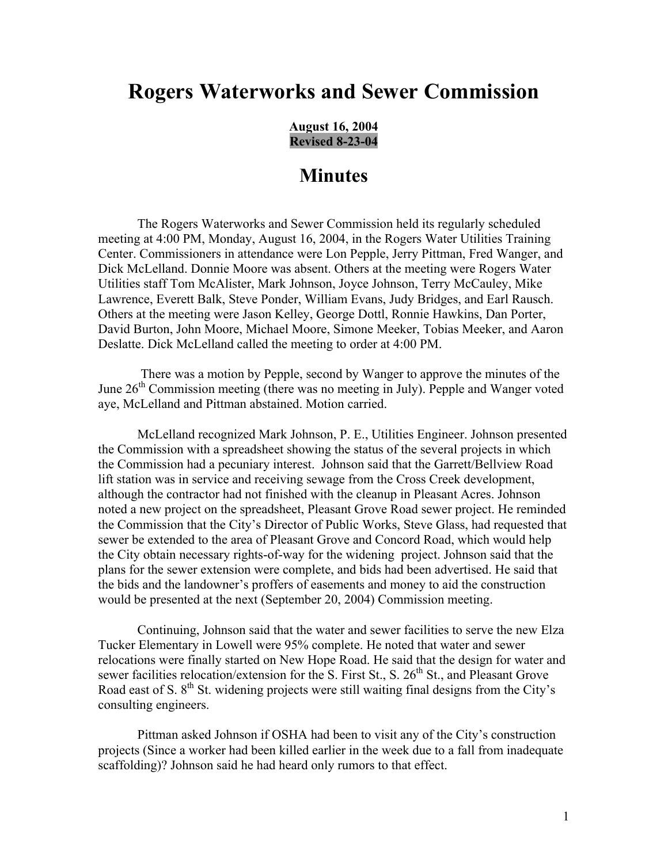## **Rogers Waterworks and Sewer Commission**

**August 16, 2004 Revised 8-23-04**

## **Minutes**

The Rogers Waterworks and Sewer Commission held its regularly scheduled meeting at 4:00 PM, Monday, August 16, 2004, in the Rogers Water Utilities Training Center. Commissioners in attendance were Lon Pepple, Jerry Pittman, Fred Wanger, and Dick McLelland. Donnie Moore was absent. Others at the meeting were Rogers Water Utilities staff Tom McAlister, Mark Johnson, Joyce Johnson, Terry McCauley, Mike Lawrence, Everett Balk, Steve Ponder, William Evans, Judy Bridges, and Earl Rausch. Others at the meeting were Jason Kelley, George Dottl, Ronnie Hawkins, Dan Porter, David Burton, John Moore, Michael Moore, Simone Meeker, Tobias Meeker, and Aaron Deslatte. Dick McLelland called the meeting to order at 4:00 PM.

 There was a motion by Pepple, second by Wanger to approve the minutes of the June  $26<sup>th</sup>$  Commission meeting (there was no meeting in July). Pepple and Wanger voted aye, McLelland and Pittman abstained. Motion carried.

McLelland recognized Mark Johnson, P. E., Utilities Engineer. Johnson presented the Commission with a spreadsheet showing the status of the several projects in which the Commission had a pecuniary interest. Johnson said that the Garrett/Bellview Road lift station was in service and receiving sewage from the Cross Creek development, although the contractor had not finished with the cleanup in Pleasant Acres. Johnson noted a new project on the spreadsheet, Pleasant Grove Road sewer project. He reminded the Commission that the City's Director of Public Works, Steve Glass, had requested that sewer be extended to the area of Pleasant Grove and Concord Road, which would help the City obtain necessary rights-of-way for the widening project. Johnson said that the plans for the sewer extension were complete, and bids had been advertised. He said that the bids and the landowner's proffers of easements and money to aid the construction would be presented at the next (September 20, 2004) Commission meeting.

Continuing, Johnson said that the water and sewer facilities to serve the new Elza Tucker Elementary in Lowell were 95% complete. He noted that water and sewer relocations were finally started on New Hope Road. He said that the design for water and sewer facilities relocation/extension for the S. First St., S.  $26<sup>th</sup>$  St., and Pleasant Grove Road east of S.  $8<sup>th</sup>$  St. widening projects were still waiting final designs from the City's consulting engineers.

Pittman asked Johnson if OSHA had been to visit any of the City's construction projects (Since a worker had been killed earlier in the week due to a fall from inadequate scaffolding)? Johnson said he had heard only rumors to that effect.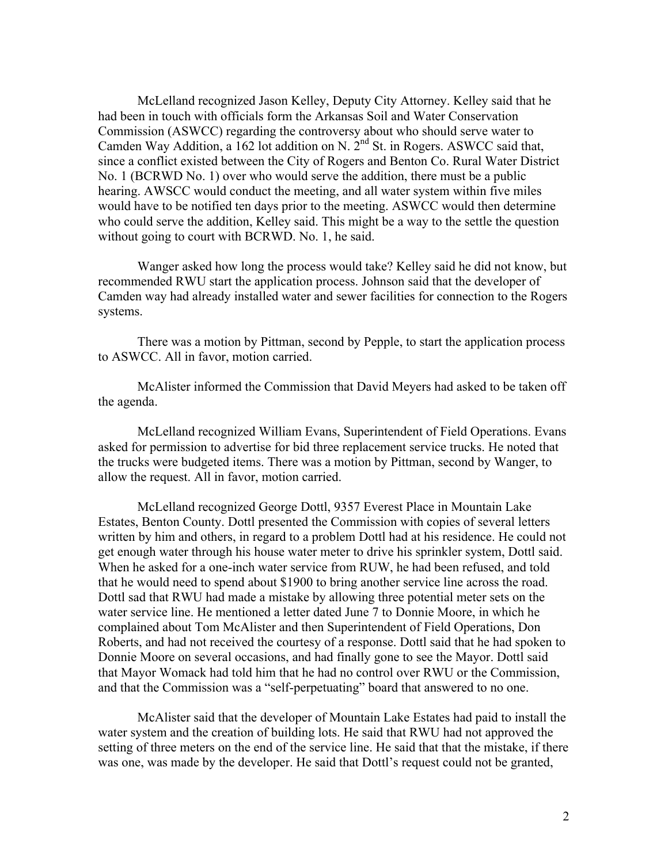McLelland recognized Jason Kelley, Deputy City Attorney. Kelley said that he had been in touch with officials form the Arkansas Soil and Water Conservation Commission (ASWCC) regarding the controversy about who should serve water to Camden Way Addition, a 162 lot addition on N.  $2<sup>nd</sup>$  St. in Rogers. ASWCC said that, since a conflict existed between the City of Rogers and Benton Co. Rural Water District No. 1 (BCRWD No. 1) over who would serve the addition, there must be a public hearing. AWSCC would conduct the meeting, and all water system within five miles would have to be notified ten days prior to the meeting. ASWCC would then determine who could serve the addition, Kelley said. This might be a way to the settle the question without going to court with BCRWD. No. 1, he said.

Wanger asked how long the process would take? Kelley said he did not know, but recommended RWU start the application process. Johnson said that the developer of Camden way had already installed water and sewer facilities for connection to the Rogers systems.

There was a motion by Pittman, second by Pepple, to start the application process to ASWCC. All in favor, motion carried.

McAlister informed the Commission that David Meyers had asked to be taken off the agenda.

McLelland recognized William Evans, Superintendent of Field Operations. Evans asked for permission to advertise for bid three replacement service trucks. He noted that the trucks were budgeted items. There was a motion by Pittman, second by Wanger, to allow the request. All in favor, motion carried.

McLelland recognized George Dottl, 9357 Everest Place in Mountain Lake Estates, Benton County. Dottl presented the Commission with copies of several letters written by him and others, in regard to a problem Dottl had at his residence. He could not get enough water through his house water meter to drive his sprinkler system, Dottl said. When he asked for a one-inch water service from RUW, he had been refused, and told that he would need to spend about \$1900 to bring another service line across the road. Dottl sad that RWU had made a mistake by allowing three potential meter sets on the water service line. He mentioned a letter dated June 7 to Donnie Moore, in which he complained about Tom McAlister and then Superintendent of Field Operations, Don Roberts, and had not received the courtesy of a response. Dottl said that he had spoken to Donnie Moore on several occasions, and had finally gone to see the Mayor. Dottl said that Mayor Womack had told him that he had no control over RWU or the Commission, and that the Commission was a "self-perpetuating" board that answered to no one.

McAlister said that the developer of Mountain Lake Estates had paid to install the water system and the creation of building lots. He said that RWU had not approved the setting of three meters on the end of the service line. He said that that the mistake, if there was one, was made by the developer. He said that Dottl's request could not be granted,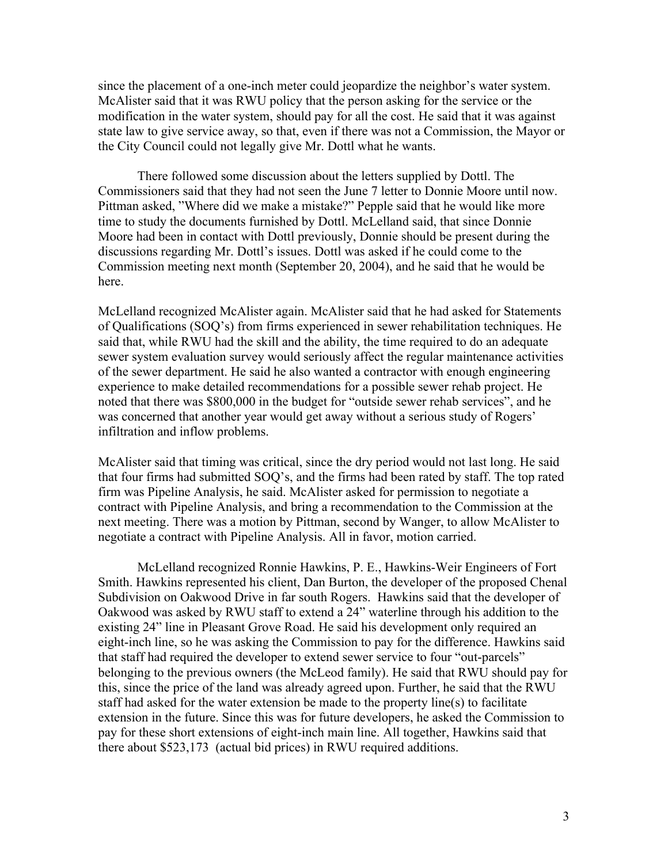since the placement of a one-inch meter could jeopardize the neighbor's water system. McAlister said that it was RWU policy that the person asking for the service or the modification in the water system, should pay for all the cost. He said that it was against state law to give service away, so that, even if there was not a Commission, the Mayor or the City Council could not legally give Mr. Dottl what he wants.

There followed some discussion about the letters supplied by Dottl. The Commissioners said that they had not seen the June 7 letter to Donnie Moore until now. Pittman asked, "Where did we make a mistake?" Pepple said that he would like more time to study the documents furnished by Dottl. McLelland said, that since Donnie Moore had been in contact with Dottl previously, Donnie should be present during the discussions regarding Mr. Dottl's issues. Dottl was asked if he could come to the Commission meeting next month (September 20, 2004), and he said that he would be here.

McLelland recognized McAlister again. McAlister said that he had asked for Statements of Qualifications (SOQ's) from firms experienced in sewer rehabilitation techniques. He said that, while RWU had the skill and the ability, the time required to do an adequate sewer system evaluation survey would seriously affect the regular maintenance activities of the sewer department. He said he also wanted a contractor with enough engineering experience to make detailed recommendations for a possible sewer rehab project. He noted that there was \$800,000 in the budget for "outside sewer rehab services", and he was concerned that another year would get away without a serious study of Rogers' infiltration and inflow problems.

McAlister said that timing was critical, since the dry period would not last long. He said that four firms had submitted SOQ's, and the firms had been rated by staff. The top rated firm was Pipeline Analysis, he said. McAlister asked for permission to negotiate a contract with Pipeline Analysis, and bring a recommendation to the Commission at the next meeting. There was a motion by Pittman, second by Wanger, to allow McAlister to negotiate a contract with Pipeline Analysis. All in favor, motion carried.

McLelland recognized Ronnie Hawkins, P. E., Hawkins-Weir Engineers of Fort Smith. Hawkins represented his client, Dan Burton, the developer of the proposed Chenal Subdivision on Oakwood Drive in far south Rogers. Hawkins said that the developer of Oakwood was asked by RWU staff to extend a 24" waterline through his addition to the existing 24" line in Pleasant Grove Road. He said his development only required an eight-inch line, so he was asking the Commission to pay for the difference. Hawkins said that staff had required the developer to extend sewer service to four "out-parcels" belonging to the previous owners (the McLeod family). He said that RWU should pay for this, since the price of the land was already agreed upon. Further, he said that the RWU staff had asked for the water extension be made to the property line(s) to facilitate extension in the future. Since this was for future developers, he asked the Commission to pay for these short extensions of eight-inch main line. All together, Hawkins said that there about \$523,173 (actual bid prices) in RWU required additions.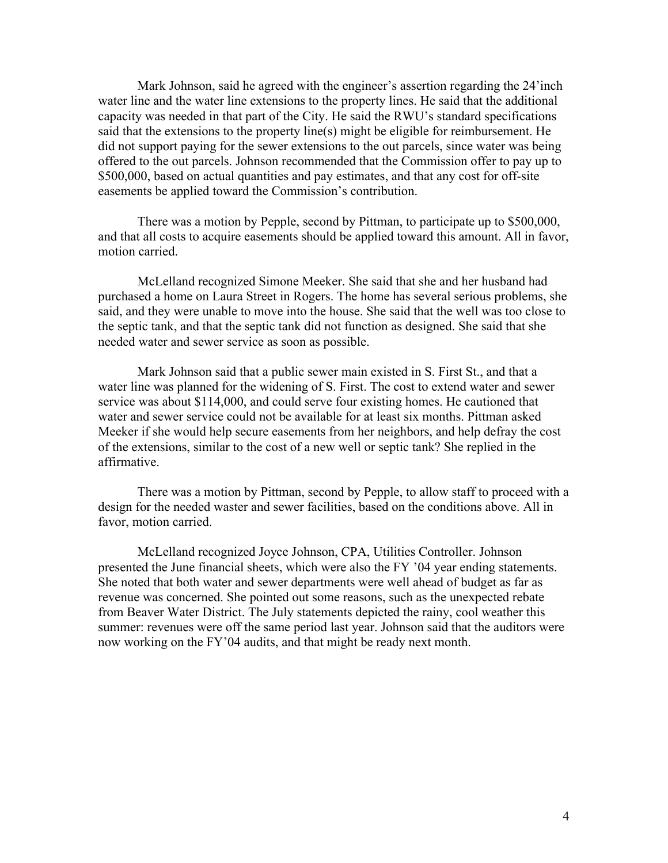Mark Johnson, said he agreed with the engineer's assertion regarding the 24'inch water line and the water line extensions to the property lines. He said that the additional capacity was needed in that part of the City. He said the RWU's standard specifications said that the extensions to the property line(s) might be eligible for reimbursement. He did not support paying for the sewer extensions to the out parcels, since water was being offered to the out parcels. Johnson recommended that the Commission offer to pay up to \$500,000, based on actual quantities and pay estimates, and that any cost for off-site easements be applied toward the Commission's contribution.

There was a motion by Pepple, second by Pittman, to participate up to \$500,000, and that all costs to acquire easements should be applied toward this amount. All in favor, motion carried.

McLelland recognized Simone Meeker. She said that she and her husband had purchased a home on Laura Street in Rogers. The home has several serious problems, she said, and they were unable to move into the house. She said that the well was too close to the septic tank, and that the septic tank did not function as designed. She said that she needed water and sewer service as soon as possible.

Mark Johnson said that a public sewer main existed in S. First St., and that a water line was planned for the widening of S. First. The cost to extend water and sewer service was about \$114,000, and could serve four existing homes. He cautioned that water and sewer service could not be available for at least six months. Pittman asked Meeker if she would help secure easements from her neighbors, and help defray the cost of the extensions, similar to the cost of a new well or septic tank? She replied in the affirmative.

There was a motion by Pittman, second by Pepple, to allow staff to proceed with a design for the needed waster and sewer facilities, based on the conditions above. All in favor, motion carried.

McLelland recognized Joyce Johnson, CPA, Utilities Controller. Johnson presented the June financial sheets, which were also the FY '04 year ending statements. She noted that both water and sewer departments were well ahead of budget as far as revenue was concerned. She pointed out some reasons, such as the unexpected rebate from Beaver Water District. The July statements depicted the rainy, cool weather this summer: revenues were off the same period last year. Johnson said that the auditors were now working on the FY'04 audits, and that might be ready next month.